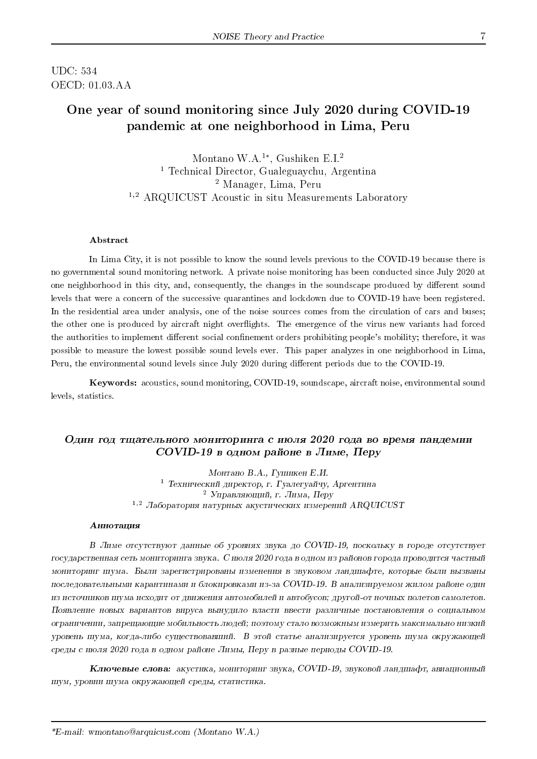UDC: 534 OECD: 01.03.AA

# One year of sound monitoring since July 2020 during COVID-19 pandemic at one neighborhood in Lima, Peru

Montano W.A.<sup>1</sup><sup>∗</sup> , Gushiken E.I.<sup>2</sup> <sup>1</sup> Technical Director, Gualeguaychu, Argentina <sup>2</sup> Manager, Lima, Peru <sup>1,2</sup> ARQUICUST Acoustic in situ Measurements Laboratory

#### Abstract

In Lima City, it is not possible to know the sound levels previous to the COVID-19 because there is no governmental sound monitoring network. A private noise monitoring has been conducted since July 2020 at one neighborhood in this city, and, consequently, the changes in the soundscape produced by different sound levels that were a concern of the successive quarantines and lockdown due to COVID-19 have been registered. In the residential area under analysis, one of the noise sources comes from the circulation of cars and buses; the other one is produced by aircraft night overflights. The emergence of the virus new variants had forced the authorities to implement different social confinement orders prohibiting people's mobility; therefore, it was possible to measure the lowest possible sound levels ever. This paper analyzes in one neighborhood in Lima, Peru, the environmental sound levels since July 2020 during different periods due to the COVID-19.

Keywords: acoustics, sound monitoring, COVID-19, soundscape, aircraft noise, environmental sound levels, statistics.

### Один год тщательного мониторинга с июля 2020 года во время пандемии  $COVID-19$  в одном районе в Лиме, Перу

Монтано В.А., Гушикен Е.И. <sup>1</sup> Технический директор, г. Гуалегуайчу, Аргентина <sup>2</sup> Управляющий, г. Лима, Перу  $1,2$  Лаборатория натурных акустических измерений ARQUICUST

#### **Аннотация**

 $B$  Лиме отсутствуют данные об уровнях звука до COVID-19, поскольку в городе отсутствует государственная сеть мониторинга звука. С июля 2020 года в одном из районов города проводится частный мониторинг шума. Были зарегистрированы изменения в звуковом ландшафте, которые были вызваны последовательными карантинами и блокировками из-за COVID-19. В анализируемом жилом районе один из источников шума исходит от движения автомобилей и автобусов; другой-от ночных полетов самолетов. Появление новых вариантов вируса вынудило власти ввести различные постановления о социальном ограничении, запрещающие мобильность людей; поэтому стало возможным измерить максимально низкий уровень шума, когда-либо существовавший. В этой статье анализируется уровень шума окружающей среды с июля 2020 года в одном районе Лимы, Перу в разные периоды COVID-19.

Ключевые слова: акустика, мониторинг звука, COVID-19, звуковой ландшафт, авиационный шум, уровни шума окружающей среды, статистика.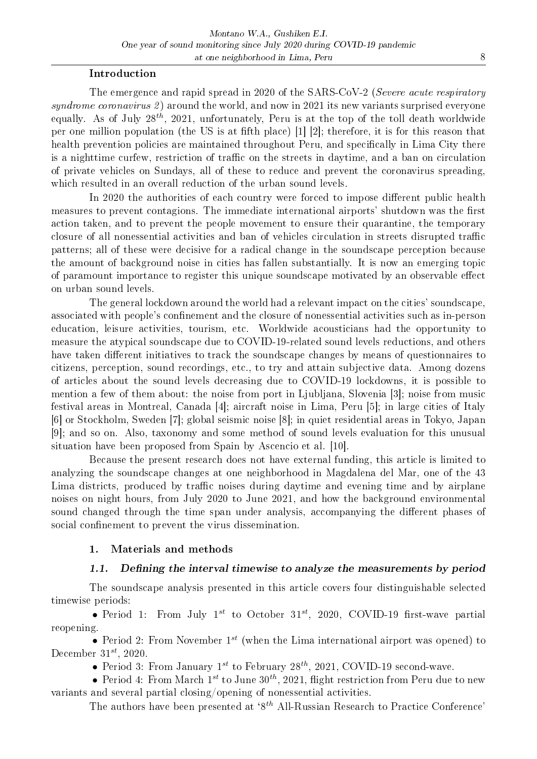### Introduction

The emergence and rapid spread in 2020 of the SARS-CoV-2 (Severe acute respiratory syndrome coronavirus 2) around the world, and now in 2021 its new variants surprised everyone equally. As of July  $28^{th}$ ,  $2021$ , unfortunately, Peru is at the top of the toll death worldwide per one million population (the US is at fifth place)  $\lfloor 1 \rfloor$  [2]; therefore, it is for this reason that health prevention policies are maintained throughout Peru, and specifically in Lima City there is a nighttime curfew, restriction of traffic on the streets in daytime, and a ban on circulation of private vehicles on Sundays, all of these to reduce and prevent the coronavirus spreading, which resulted in an overall reduction of the urban sound levels.

In 2020 the authorities of each country were forced to impose different public health measures to prevent contagions. The immediate international airports' shutdown was the first action taken, and to prevent the people movement to ensure their quarantine, the temporary closure of all nonessential activities and ban of vehicles circulation in streets disrupted traffic patterns; all of these were decisive for a radical change in the soundscape perception because the amount of background noise in cities has fallen substantially. It is now an emerging topic of paramount importance to register this unique soundscape motivated by an observable effect on urban sound levels.

The general lockdown around the world had a relevant impact on the cities' soundscape, associated with people's confinement and the closure of nonessential activities such as in-person education, leisure activities, tourism, etc. Worldwide acousticians had the opportunity to measure the atypical soundscape due to COVID-19-related sound levels reductions, and others have taken different initiatives to track the soundscape changes by means of questionnaires to citizens, perception, sound recordings, etc., to try and attain subjective data. Among dozens of articles about the sound levels decreasing due to COVID-19 lockdowns, it is possible to mention a few of them about: the noise from port in Ljubljana, Slovenia [3]; noise from music festival areas in Montreal, Canada [4]; aircraft noise in Lima, Peru [5]; in large cities of Italy [6] or Stockholm, Sweden [7]; global seismic noise [8]; in quiet residential areas in Tokyo, Japan [9]; and so on. Also, taxonomy and some method of sound levels evaluation for this unusual situation have been proposed from Spain by Ascencio et al. [10].

Because the present research does not have external funding, this article is limited to analyzing the soundscape changes at one neighborhood in Magdalena del Mar, one of the 43 Lima districts, produced by traffic noises during daytime and evening time and by airplane noises on night hours, from July 2020 to June 2021, and how the background environmental sound changed through the time span under analysis, accompanying the different phases of social confinement to prevent the virus dissemination.

# 1. Materials and methods

#### 1.1. Defining the interval timewise to analyze the measurements by period

The soundscape analysis presented in this article covers four distinguishable selected timewise periods:

• Period 1: From July  $1^{st}$  to October 31<sup>st</sup>, 2020, COVID-19 first-wave partial reopening.

• Period 2: From November  $1^{st}$  (when the Lima international airport was opened) to December  $31^{st}$ , 2020.

• Period 3: From January  $1^{st}$  to February  $28^{th}$ , 2021, COVID-19 second-wave.

• Period 4: From March  $1^{st}$  to June  $30^{th}$ , 2021, flight restriction from Peru due to new variants and several partial closing/opening of nonessential activities.

The authors have been presented at  $8<sup>th</sup>$  All-Russian Research to Practice Conference'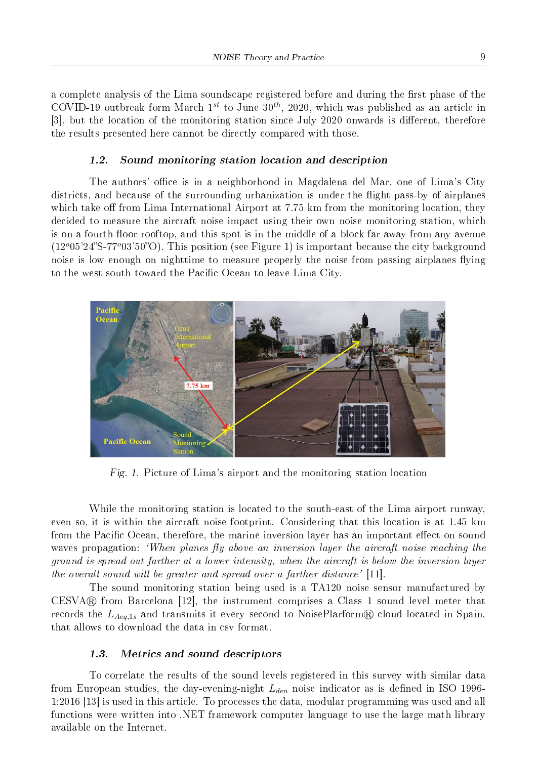a complete analysis of the Lima soundscape registered before and during the first phase of the COVID-19 outbreak form March  $1^{st}$  to June  $30^{th}$ , 2020, which was published as an article in [3], but the location of the monitoring station since July 2020 onwards is different, therefore the results presented here cannot be directly compared with those.

#### 1.2. Sound monitoring station location and description

The authors' office is in a neighborhood in Magdalena del Mar, one of Lima's City districts, and because of the surrounding urbanization is under the flight pass-by of airplanes which take off from Lima International Airport at  $7.75 \text{ km}$  from the monitoring location, they decided to measure the aircraft noise impact using their own noise monitoring station, which is on a fourth-floor rooftop, and this spot is in the middle of a block far away from any avenue  $(12^{\circ}05'24''S-77^{\circ}03'50''O)$ . This position (see Figure 1) is important because the city background noise is low enough on nighttime to measure properly the noise from passing airplanes flying to the west-south toward the Pacific Ocean to leave Lima City.



Fig. 1. Picture of Lima's airport and the monitoring station location

While the monitoring station is located to the south-east of the Lima airport runway, even so, it is within the aircraft noise footprint. Considering that this location is at 1.45 km from the Pacific Ocean, therefore, the marine inversion layer has an important effect on sound waves propagation: 'When planes fly above an inversion layer the aircraft noise reaching the ground is spread out farther at a lower intensity, when the aircraft is below the inversion layer the overall sound will be greater and spread over a farther distance' [11].

The sound monitoring station being used is a TA120 noise sensor manufactured by  $CESVA@$  from Barcelona [12], the instrument comprises a Class 1 sound level meter that records the  $L_{Aeq,1s}$  and transmits it every second to NoisePlarform<sub>®</sub> cloud located in Spain, that allows to download the data in csv format.

#### 1.3. Metrics and sound descriptors

To correlate the results of the sound levels registered in this survey with similar data from European studies, the day-evening-night  $L_{den}$  noise indicator as is defined in ISO 1996-1:2016 [13] is used in this article. To processes the data, modular programming was used and all functions were written into .NET framework computer language to use the large math library available on the Internet.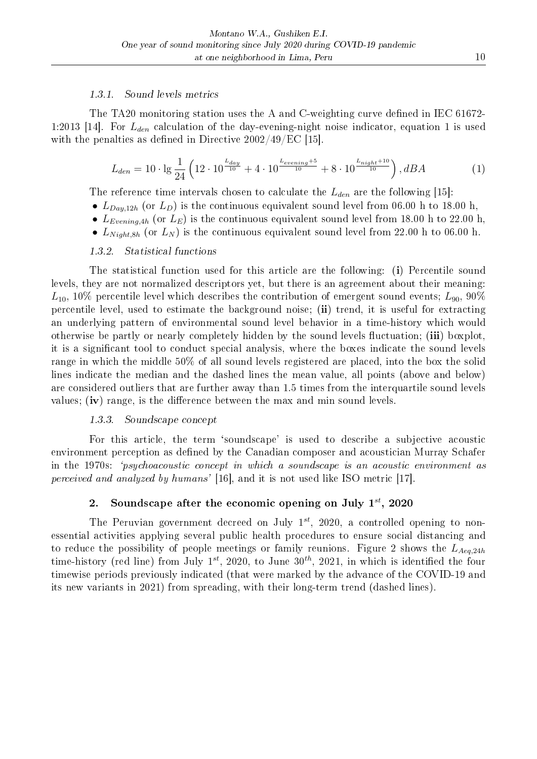#### 1.3.1. Sound levels metrics

The TA20 monitoring station uses the A and C-weighting curve defined in IEC 61672-1:2013 [14]. For  $L_{den}$  calculation of the day-evening-night noise indicator, equation 1 is used with the penalties as defined in Directive  $2002/49$ /EC [15].

$$
L_{den} = 10 \cdot \lg \frac{1}{24} \left( 12 \cdot 10^{\frac{L_{day}}{10}} + 4 \cdot 10^{\frac{L_{evening}+5}{10}} + 8 \cdot 10^{\frac{L_{night}+10}{10}} \right), dBA \tag{1}
$$

The reference time intervals chosen to calculate the  $L_{den}$  are the following [15]:

- $L_{Day,12h}$  (or  $L_D$ ) is the continuous equivalent sound level from 06.00 h to 18.00 h,
- $L_{Evening,4h}$  (or  $L_E$ ) is the continuous equivalent sound level from 18.00 h to 22.00 h,
- $L_{Night,8h}$  (or  $L_N$ ) is the continuous equivalent sound level from 22.00 h to 06.00 h.

# 1.3.2. Statistical functions

The statistical function used for this article are the following: (i) Percentile sound levels, they are not normalized descriptors yet, but there is an agreement about their meaning:  $L_{10}$ , 10% percentile level which describes the contribution of emergent sound events;  $L_{90}$ , 90% percentile level, used to estimate the background noise; (ii) trend, it is useful for extracting an underlying pattern of environmental sound level behavior in a time-history which would otherwise be partly or nearly completely hidden by the sound levels fluctuation; (iii) boxplot, it is a signicant tool to conduct special analysis, where the boxes indicate the sound levels range in which the middle 50% of all sound levels registered are placed, into the box the solid lines indicate the median and the dashed lines the mean value, all points (above and below) are considered outliers that are further away than 1.5 times from the interquartile sound levels values; (iv) range, is the difference between the max and min sound levels.

#### 1.3.3. Soundscape concept

For this article, the term `soundscape' is used to describe a subjective acoustic environment perception as defined by the Canadian composer and acoustician Murray Schafer in the 1970s: `psychoacoustic concept in which a soundscape is an acoustic environment as perceived and analyzed by humans' [16], and it is not used like ISO metric [17].

### 2. Soundscape after the economic opening on July  $1^{st}$ , 2020

The Peruvian government decreed on July  $1^{st}$ , 2020, a controlled opening to nonessential activities applying several public health procedures to ensure social distancing and to reduce the possibility of people meetings or family reunions. Figure 2 shows the  $L_{Aeq,24h}$ time-history (red line) from July  $1^{st}$ , 2020, to June  $30^{th}$ , 2021, in which is identified the four timewise periods previously indicated (that were marked by the advance of the COVID-19 and its new variants in 2021) from spreading, with their long-term trend (dashed lines).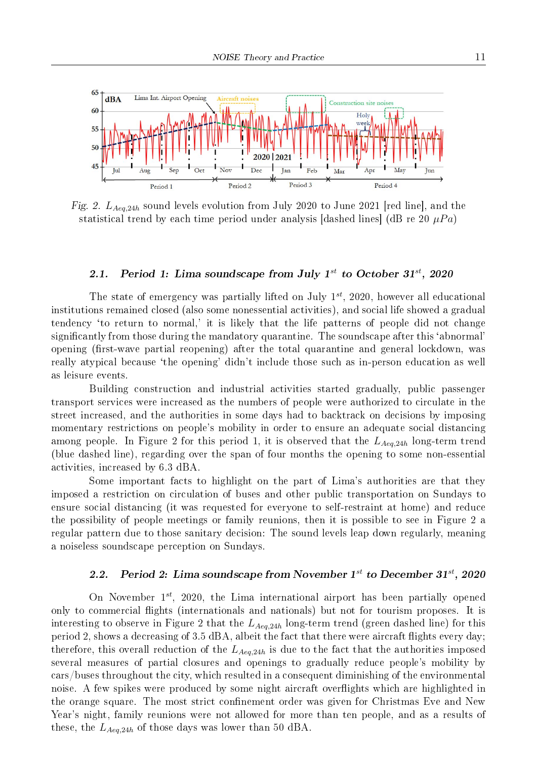

Fig. 2.  $L_{Aea,24h}$  sound levels evolution from July 2020 to June 2021 [red line], and the statistical trend by each time period under analysis [dashed lines] (dB re 20  $\mu Pa$ )

### 2.1. Period 1: Lima soundscape from July  $1^{st}$  to October  $31^{st}$ , 2020

The state of emergency was partially lifted on July  $1^{st}$ , 2020, however all educational institutions remained closed (also some nonessential activities), and social life showed a gradual tendency `to return to normal,' it is likely that the life patterns of people did not change signicantly from those during the mandatory quarantine. The soundscape after this `abnormal' opening (first-wave partial reopening) after the total quarantine and general lockdown, was really atypical because 'the opening' didn't include those such as in-person education as well as leisure events.

Building construction and industrial activities started gradually, public passenger transport services were increased as the numbers of people were authorized to circulate in the street increased, and the authorities in some days had to backtrack on decisions by imposing momentary restrictions on people's mobility in order to ensure an adequate social distancing among people. In Figure 2 for this period 1, it is observed that the  $L_{Aeq,24h}$  long-term trend (blue dashed line), regarding over the span of four months the opening to some non-essential activities, increased by 6.3 dBA.

Some important facts to highlight on the part of Lima's authorities are that they imposed a restriction on circulation of buses and other public transportation on Sundays to ensure social distancing (it was requested for everyone to self-restraint at home) and reduce the possibility of people meetings or family reunions, then it is possible to see in Figure 2 a regular pattern due to those sanitary decision: The sound levels leap down regularly, meaning a noiseless soundscape perception on Sundays.

# 2.2. Period 2: Lima soundscape from November  $1^{st}$  to December  $31^{st}$ , 2020

On November  $1^{st}$ , 2020, the Lima international airport has been partially opened only to commercial flights (internationals and nationals) but not for tourism proposes. It is interesting to observe in Figure 2 that the  $L_{Aeq,24h}$  long-term trend (green dashed line) for this period 2, shows a decreasing of 3.5 dBA, albeit the fact that there were aircraft flights every day; therefore, this overall reduction of the  $L_{Aea,24h}$  is due to the fact that the authorities imposed several measures of partial closures and openings to gradually reduce people's mobility by cars/buses throughout the city, which resulted in a consequent diminishing of the environmental noise. A few spikes were produced by some night aircraft overights which are highlighted in the orange square. The most strict confinement order was given for Christmas Eve and New Year's night, family reunions were not allowed for more than ten people, and as a results of these, the  $L_{Aeq,24h}$  of those days was lower than 50 dBA.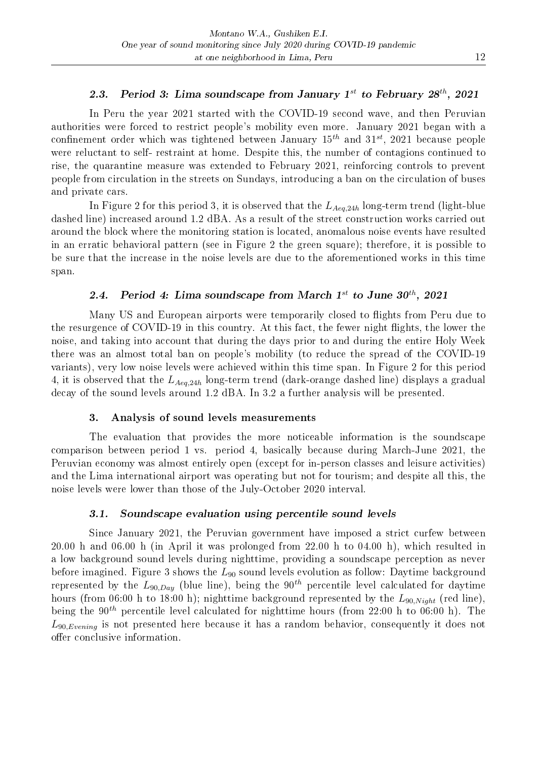# 2.3. Period 3: Lima soundscape from January  $1^{st}$  to February  $28^{th}$ , 2021

In Peru the year 2021 started with the COVID-19 second wave, and then Peruvian authorities were forced to restrict people's mobility even more. January 2021 began with a confinement order which was tightened between January  $15^{th}$  and  $31^{st}$ , 2021 because people were reluctant to self- restraint at home. Despite this, the number of contagions continued to rise, the quarantine measure was extended to February 2021, reinforcing controls to prevent people from circulation in the streets on Sundays, introducing a ban on the circulation of buses and private cars.

In Figure 2 for this period 3, it is observed that the  $L_{Aeq,24h}$  long-term trend (light-blue dashed line) increased around 1.2 dBA. As a result of the street construction works carried out around the block where the monitoring station is located, anomalous noise events have resulted in an erratic behavioral pattern (see in Figure 2 the green square); therefore, it is possible to be sure that the increase in the noise levels are due to the aforementioned works in this time span.

# 2.4. Period 4: Lima soundscape from March  $1^{st}$  to June  $30^{th}$ , 2021

Many US and European airports were temporarily closed to flights from Peru due to the resurgence of COVID-19 in this country. At this fact, the fewer night flights, the lower the noise, and taking into account that during the days prior to and during the entire Holy Week there was an almost total ban on people's mobility (to reduce the spread of the COVID-19 variants), very low noise levels were achieved within this time span. In Figure 2 for this period 4, it is observed that the  $L_{Aeq,24h}$  long-term trend (dark-orange dashed line) displays a gradual decay of the sound levels around 1.2 dBA. In 3.2 a further analysis will be presented.

#### 3. Analysis of sound levels measurements

The evaluation that provides the more noticeable information is the soundscape comparison between period 1 vs. period 4, basically because during March-June 2021, the Peruvian economy was almost entirely open (except for in-person classes and leisure activities) and the Lima international airport was operating but not for tourism; and despite all this, the noise levels were lower than those of the July-October 2020 interval.

#### 3.1. Soundscape evaluation using percentile sound levels

Since January 2021, the Peruvian government have imposed a strict curfew between 20.00 h and 06.00 h (in April it was prolonged from 22.00 h to 04.00 h), which resulted in a low background sound levels during nighttime, providing a soundscape perception as never before imagined. Figure 3 shows the  $L_{90}$  sound levels evolution as follow: Daytime background represented by the  $L_{90,Day}$  (blue line), being the 90<sup>th</sup> percentile level calculated for daytime hours (from 06:00 h to 18:00 h); nighttime background represented by the  $L_{90,Night (red line).$ being the 90<sup>th</sup> percentile level calculated for nighttime hours (from 22:00 h to 06:00 h). The  $L_{90,Evening}$  is not presented here because it has a random behavior, consequently it does not offer conclusive information.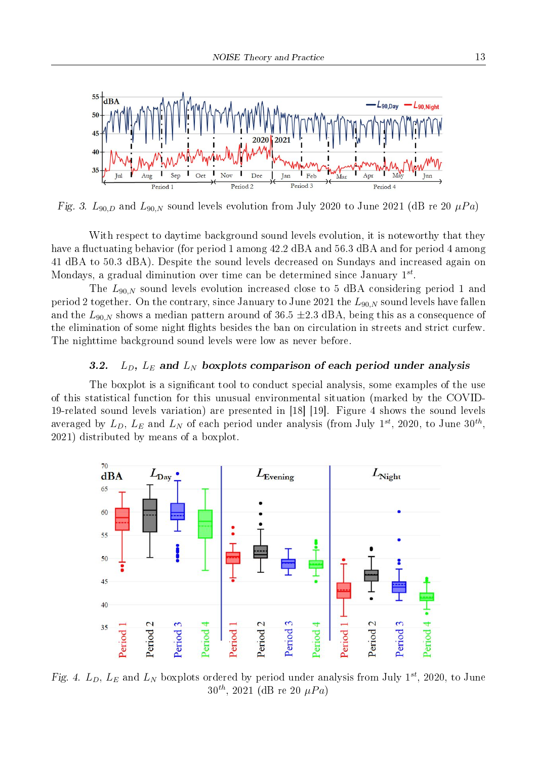

Fig. 3.  $L_{90,D}$  and  $L_{90,N}$  sound levels evolution from July 2020 to June 2021 (dB re 20  $\mu Pa$ )

With respect to daytime background sound levels evolution, it is noteworthy that they have a fluctuating behavior (for period 1 among 42.2 dBA and 56.3 dBA and for period 4 among 41 dBA to 50.3 dBA). Despite the sound levels decreased on Sundays and increased again on Mondays, a gradual diminution over time can be determined since January  $1^{st}$ .

The  $L_{90,N}$  sound levels evolution increased close to 5 dBA considering period 1 and period 2 together. On the contrary, since January to June 2021 the  $L_{90,N}$  sound levels have fallen and the  $L_{90,N}$  shows a median pattern around of 36.5  $\pm$ 2.3 dBA, being this as a consequence of the elimination of some night flights besides the ban on circulation in streets and strict curfew. The nighttime background sound levels were low as never before.

# 3.2.  $L_D$ ,  $L_E$  and  $L_N$  boxplots comparison of each period under analysis

The boxplot is a significant tool to conduct special analysis, some examples of the use of this statistical function for this unusual environmental situation (marked by the COVID-19-related sound levels variation) are presented in [18] [19]. Figure 4 shows the sound levels averaged by  $L_D, \, L_E$  and  $L_N$  of each period under analysis (from July  $1^{st}, \, 2020, \,$  to June  $30^{th}, \,$ 2021) distributed by means of a boxplot.



Fig. 4.  $L_D$ ,  $L_E$  and  $L_N$  boxplots ordered by period under analysis from July 1<sup>st</sup>, 2020, to June  $30^{th}$ , 2021 (dB re 20  $\mu Pa$ )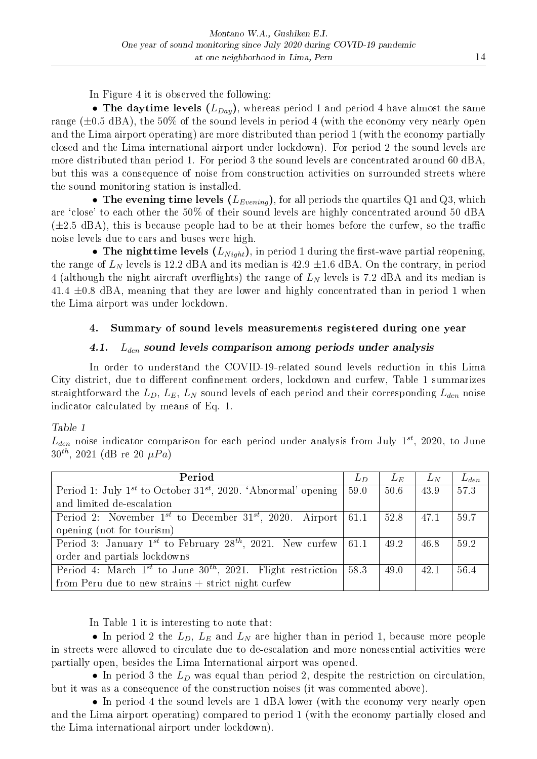In Figure 4 it is observed the following:

• The daytime levels  $(L_{Day})$ , whereas period 1 and period 4 have almost the same range  $(\pm 0.5 \text{ dBA})$ , the 50% of the sound levels in period 4 (with the economy very nearly open and the Lima airport operating) are more distributed than period 1 (with the economy partially closed and the Lima international airport under lockdown). For period 2 the sound levels are more distributed than period 1. For period 3 the sound levels are concentrated around 60 dBA, but this was a consequence of noise from construction activities on surrounded streets where the sound monitoring station is installed.

• The evening time levels  $(L_{Evening})$ , for all periods the quartiles Q1 and Q3, which are `close' to each other the 50% of their sound levels are highly concentrated around 50 dBA  $(\pm 2.5 \text{ dBA})$ , this is because people had to be at their homes before the curfew, so the traffic noise levels due to cars and buses were high.

• The nighttime levels  $(L_{Niah})$ , in period 1 during the first-wave partial reopening, the range of  $L<sub>N</sub>$  levels is 12.2 dBA and its median is 42.9  $\pm$ 1.6 dBA. On the contrary, in period 4 (although the night aircraft overflights) the range of  $L<sub>N</sub>$  levels is 7.2 dBA and its median is  $41.4 \pm 0.8$  dBA, meaning that they are lower and highly concentrated than in period 1 when the Lima airport was under lockdown.

# 4. Summary of sound levels measurements registered during one year

# 4.1.  $L_{den}$  sound levels comparison among periods under analysis

In order to understand the COVID-19-related sound levels reduction in this Lima City district, due to different confinement orders, lockdown and curfew, Table 1 summarizes straightforward the  $L_D$ ,  $L_E$ ,  $L_N$  sound levels of each period and their corresponding  $L_{den}$  noise indicator calculated by means of Eq. 1.

### Table 1

 $L_{den}$  noise indicator comparison for each period under analysis from July  $1^{st}$ , 2020, to June  $30^{th}$ , 2021 (dB re 20  $\mu Pa$ )

| Period                                                                                | $L_D$ | $L_E$ | $L_N$ | $L_{den}$ |
|---------------------------------------------------------------------------------------|-------|-------|-------|-----------|
| Period 1: July 1 <sup>st</sup> to October 31 <sup>st</sup> , 2020. 'Abnormal' opening | 59.0  | 50.6  | 43.9  | 57.3      |
| and limited de-escalation                                                             |       |       |       |           |
| Period 2: November $1^{st}$ to December $31^{st}$ , 2020. Airport                     | 61.1  | 52.8  | 47.1  | 59.7      |
| opening (not for tourism)                                                             |       |       |       |           |
| Period 3: January 1st to February 28 <sup>th</sup> , 2021. New curfew                 | 61.1  | 49.2  | 46.8  | 59.2      |
| order and partials lockdowns                                                          |       |       |       |           |
| Period 4: March $1^{st}$ to June $30^{th}$ , 2021. Flight restriction                 | 58.3  | 49.0  | 42.1  | 56.4      |
| from Peru due to new strains $+$ strict night curfew                                  |       |       |       |           |

In Table 1 it is interesting to note that:

• In period 2 the  $L_D$ ,  $L_E$  and  $L_N$  are higher than in period 1, because more people in streets were allowed to circulate due to de-escalation and more nonessential activities were partially open, besides the Lima International airport was opened.

• In period 3 the  $L<sub>D</sub>$  was equal than period 2, despite the restriction on circulation, but it was as a consequence of the construction noises (it was commented above).

• In period 4 the sound levels are 1 dBA lower (with the economy very nearly open and the Lima airport operating) compared to period 1 (with the economy partially closed and the Lima international airport under lockdown).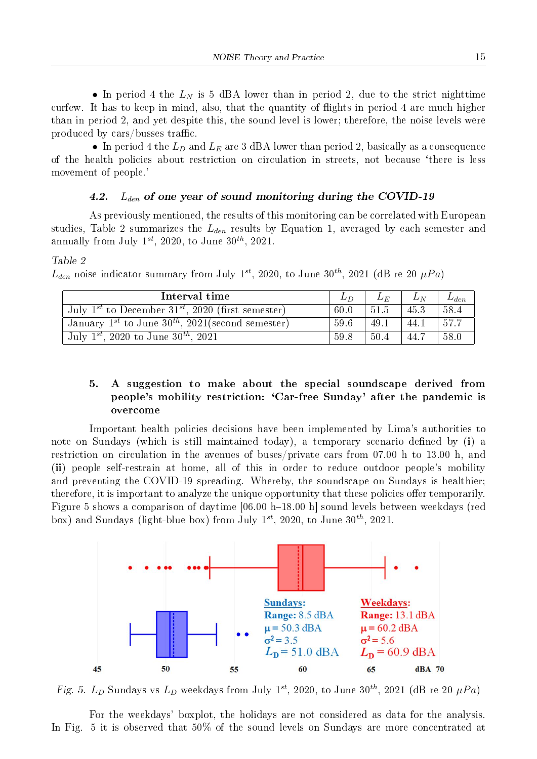• In period 4 the  $L<sub>N</sub>$  is 5 dBA lower than in period 2, due to the strict nighttime curfew. It has to keep in mind, also, that the quantity of flights in period 4 are much higher than in period 2, and yet despite this, the sound level is lower; therefore, the noise levels were produced by cars/busses traffic.

• In period 4 the  $L_D$  and  $L_E$  are 3 dBA lower than period 2, basically as a consequence of the health policies about restriction on circulation in streets, not because `there is less movement of people.'

#### 4.2.  $L_{den}$  of one year of sound monitoring during the COVID-19

As previously mentioned, the results of this monitoring can be correlated with European studies, Table 2 summarizes the  $L_{den}$  results by Equation 1, averaged by each semester and annually from July  $1^{st}$ , 2020, to June  $30^{th}$ , 2021.

#### Table 2

 $L_{den}$  noise indicator summary from July 1<sup>st</sup>, 2020, to June 30<sup>th</sup>, 2021 (dB re 20  $\mu Pa$ )

| Interval time                                                             |      | $L_E$ | $L_N$ | $L_{den}$ |
|---------------------------------------------------------------------------|------|-------|-------|-----------|
| July 1 <sup>st</sup> to December 31 <sup>st</sup> , 2020 (first semester) | 60.0 | 51.5  | 45.3  | -58.4     |
| January $1^{st}$ to June $30^{th}$ , $2021$ (second semester)             | 59.6 | 49.1  | 44.1  | 1,57.7    |
| July 1 <sup>st</sup> , 2020 to June $30^{th}$ , 2021                      | 59.8 | 50.4  | 44.7  | 58.0      |

# 5. A suggestion to make about the special soundscape derived from people's mobility restriction: `Car-free Sunday' after the pandemic is overcome

Important health policies decisions have been implemented by Lima's authorities to note on Sundays (which is still maintained today), a temporary scenario defined by  $(i)$  a restriction on circulation in the avenues of buses/private cars from 07.00 h to 13.00 h, and (ii) people self-restrain at home, all of this in order to reduce outdoor people's mobility and preventing the COVID-19 spreading. Whereby, the soundscape on Sundays is healthier; therefore, it is important to analyze the unique opportunity that these policies offer temporarily. Figure 5 shows a comparison of daytime [06.00 h-18.00 h] sound levels between weekdays (red box) and Sundays (light-blue box) from July  $1^{st}$ , 2020, to June  $30^{th}$ , 2021.



Fig. 5.  $L_D$  Sundays vs  $L_D$  weekdays from July 1<sup>st</sup>, 2020, to June 30<sup>th</sup>, 2021 (dB re 20  $\mu Pa$ )

For the weekdays' boxplot, the holidays are not considered as data for the analysis. In Fig. 5 it is observed that 50% of the sound levels on Sundays are more concentrated at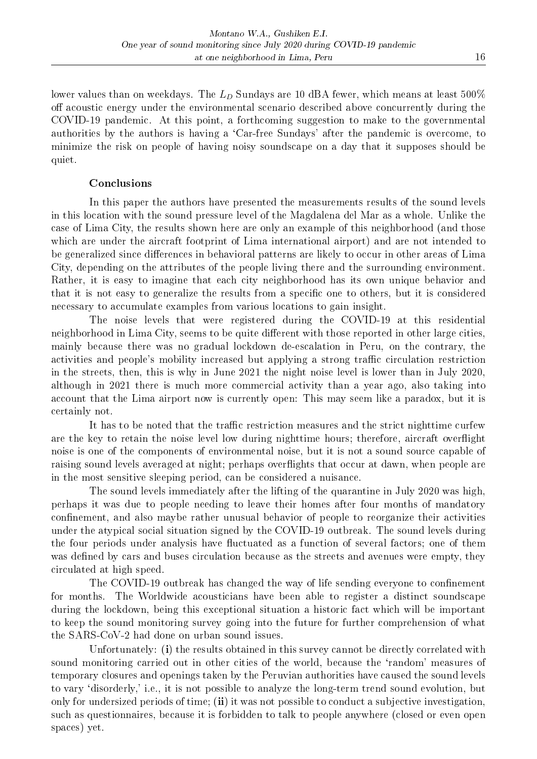lower values than on weekdays. The  $L_D$  Sundays are 10 dBA fewer, which means at least 500% off acoustic energy under the environmental scenario described above concurrently during the COVID-19 pandemic. At this point, a forthcoming suggestion to make to the governmental authorities by the authors is having a 'Car-free Sundays' after the pandemic is overcome, to minimize the risk on people of having noisy soundscape on a day that it supposes should be quiet.

### Conclusions

In this paper the authors have presented the measurements results of the sound levels in this location with the sound pressure level of the Magdalena del Mar as a whole. Unlike the case of Lima City, the results shown here are only an example of this neighborhood (and those which are under the aircraft footprint of Lima international airport) and are not intended to be generalized since differences in behavioral patterns are likely to occur in other areas of Lima City, depending on the attributes of the people living there and the surrounding environment. Rather, it is easy to imagine that each city neighborhood has its own unique behavior and that it is not easy to generalize the results from a specific one to others, but it is considered necessary to accumulate examples from various locations to gain insight.

The noise levels that were registered during the COVID-19 at this residential neighborhood in Lima City, seems to be quite different with those reported in other large cities. mainly because there was no gradual lockdown de-escalation in Peru, on the contrary, the activities and people's mobility increased but applying a strong traffic circulation restriction in the streets, then, this is why in June 2021 the night noise level is lower than in July 2020, although in 2021 there is much more commercial activity than a year ago, also taking into account that the Lima airport now is currently open: This may seem like a paradox, but it is certainly not.

It has to be noted that the traffic restriction measures and the strict nighttime curfew are the key to retain the noise level low during nighttime hours; therefore, aircraft overflight noise is one of the components of environmental noise, but it is not a sound source capable of raising sound levels averaged at night; perhaps overflights that occur at dawn, when people are in the most sensitive sleeping period, can be considered a nuisance.

The sound levels immediately after the lifting of the quarantine in July 2020 was high, perhaps it was due to people needing to leave their homes after four months of mandatory confinement, and also maybe rather unusual behavior of people to reorganize their activities under the atypical social situation signed by the COVID-19 outbreak. The sound levels during the four periods under analysis have fluctuated as a function of several factors; one of them was defined by cars and buses circulation because as the streets and avenues were empty, they circulated at high speed.

The COVID-19 outbreak has changed the way of life sending everyone to confinement for months. The Worldwide acousticians have been able to register a distinct soundscape during the lockdown, being this exceptional situation a historic fact which will be important to keep the sound monitoring survey going into the future for further comprehension of what the SARS-CoV-2 had done on urban sound issues.

Unfortunately: (i) the results obtained in this survey cannot be directly correlated with sound monitoring carried out in other cities of the world, because the `random' measures of temporary closures and openings taken by the Peruvian authorities have caused the sound levels to vary `disorderly,' i.e., it is not possible to analyze the long-term trend sound evolution, but only for undersized periods of time; (ii) it was not possible to conduct a subjective investigation, such as questionnaires, because it is forbidden to talk to people anywhere (closed or even open spaces) yet.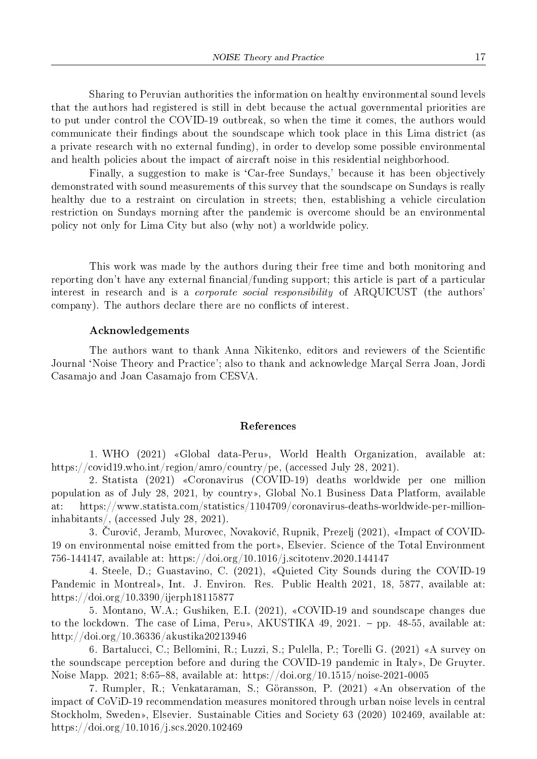Sharing to Peruvian authorities the information on healthy environmental sound levels that the authors had registered is still in debt because the actual governmental priorities are to put under control the COVID-19 outbreak, so when the time it comes, the authors would communicate their findings about the soundscape which took place in this Lima district (as a private research with no external funding), in order to develop some possible environmental and health policies about the impact of aircraft noise in this residential neighborhood.

Finally, a suggestion to make is 'Car-free Sundays,' because it has been objectively demonstrated with sound measurements of this survey that the soundscape on Sundays is really healthy due to a restraint on circulation in streets; then, establishing a vehicle circulation restriction on Sundays morning after the pandemic is overcome should be an environmental policy not only for Lima City but also (why not) a worldwide policy.

This work was made by the authors during their free time and both monitoring and reporting don't have any external financial/funding support; this article is part of a particular interest in research and is a *corporate social responsibility* of ARQUICUST (the authors' company). The authors declare there are no conflicts of interest.

#### Acknowledgements

The authors want to thank Anna Nikitenko, editors and reviewers of the Scientific Journal `Noise Theory and Practice'; also to thank and acknowledge Marcal Serra Joan, Jordi Casamajo and Joan Casamajo from CESVA.

#### References

1. WHO (2021) «Global data-Peru», World Health Organization, available at: https://covid19.who.int/region/amro/country/pe, (accessed July 28, 2021).

2. Statista (2021) ¾Coronavirus (COVID-19) deaths worldwide per one million population as of July 28, 2021, by country», Global No.1 Business Data Platform, available at: https://www.statista.com/statistics/1104709/coronavirus-deaths-worldwide-per-millioninhabitants/, (accessed July 28, 2021).

3. Curovic, Jeramb, Murovec, Novakovic, Rupnik, Prezelj (2021), ¾Impact of COVID- 19 on environmental noise emitted from the port», Elsevier. Science of the Total Environment 756-144147, available at: https://doi.org/10.1016/j.scitotenv.2020.144147

4. Steele, D.; Guastavino, C. (2021), ¾Quieted City Sounds during the COVID-19 Pandemic in Montreal», Int. J. Environ. Res. Public Health 2021, 18, 5877, available at: https://doi.org/10.3390/ijerph18115877

5. Montano, W.A.; Gushiken, E.I. (2021), ¾COVID-19 and soundscape changes due to the lockdown. The case of Lima, Peru», AKUSTIKA 49, 2021. - pp. 48-55, available at: http://doi.org/10.36336/akustika20213946

6. Bartalucci, C.; Bellomini, R.; Luzzi, S.; Pulella, P.; Torelli G. (2021) ¾A survey on the soundscape perception before and during the COVID-19 pandemic in Italy», De Gruyter. Noise Mapp. 2021; 8:65–88, available at: https://doi.org/10.1515/noise-2021-0005

7. Rumpler, R.; Venkataraman, S.; Göransson, P. (2021) «An observation of the impact of CoViD-19 recommendation measures monitored through urban noise levels in central Stockholm, Sweden», Elsevier. Sustainable Cities and Society 63 (2020) 102469, available at: https://doi.org/10.1016/j.scs.2020.102469